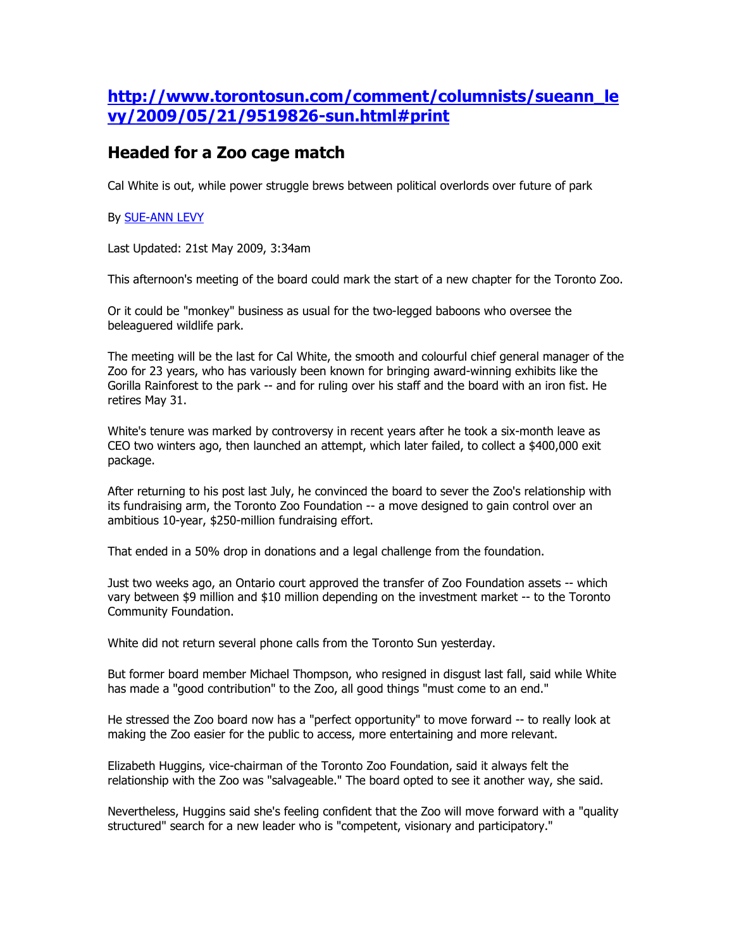## http://www.torontosun.com/comment/columnists/sueann\_le vy/2009/05/21/9519826-sun.html#print

## Headed for a Zoo cage match

Cal White is out, while power struggle brews between political overlords over future of park

## By SUE-ANN LEVY

Last Updated: 21st May 2009, 3:34am

This afternoon's meeting of the board could mark the start of a new chapter for the Toronto Zoo.

Or it could be "monkey" business as usual for the two-legged baboons who oversee the beleaguered wildlife park.

The meeting will be the last for Cal White, the smooth and colourful chief general manager of the Zoo for 23 years, who has variously been known for bringing award-winning exhibits like the Gorilla Rainforest to the park -- and for ruling over his staff and the board with an iron fist. He retires May 31.

White's tenure was marked by controversy in recent years after he took a six-month leave as CEO two winters ago, then launched an attempt, which later failed, to collect a \$400,000 exit package.

After returning to his post last July, he convinced the board to sever the Zoo's relationship with its fundraising arm, the Toronto Zoo Foundation -- a move designed to gain control over an ambitious 10-year, \$250-million fundraising effort.

That ended in a 50% drop in donations and a legal challenge from the foundation.

Just two weeks ago, an Ontario court approved the transfer of Zoo Foundation assets -- which vary between \$9 million and \$10 million depending on the investment market -- to the Toronto Community Foundation.

White did not return several phone calls from the Toronto Sun yesterday.

But former board member Michael Thompson, who resigned in disgust last fall, said while White has made a "good contribution" to the Zoo, all good things "must come to an end."

He stressed the Zoo board now has a "perfect opportunity" to move forward -- to really look at making the Zoo easier for the public to access, more entertaining and more relevant.

Elizabeth Huggins, vice-chairman of the Toronto Zoo Foundation, said it always felt the relationship with the Zoo was "salvageable." The board opted to see it another way, she said.

Nevertheless, Huggins said she's feeling confident that the Zoo will move forward with a "quality structured" search for a new leader who is "competent, visionary and participatory."